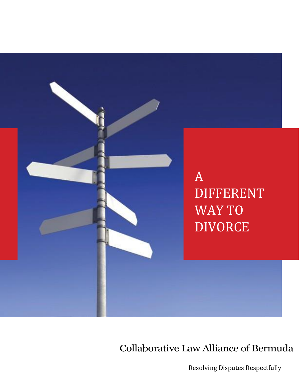

## Collaborative Law Alliance of Bermuda

Resolving Disputes Respectfully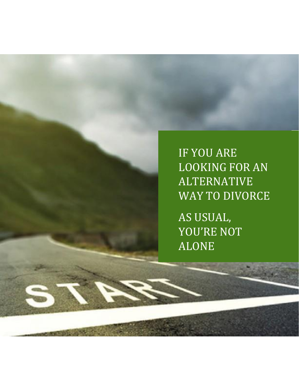IF YOU ARE LOOKING FOR AN ALTERNATIVE WAY TO DIVORCE AS USUAL,

YOU'RE NOT ALONE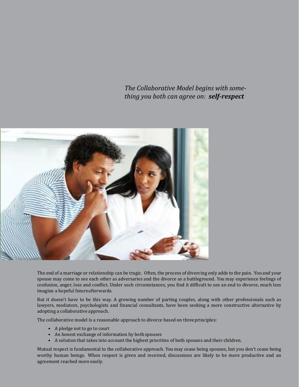*The Collaborative Model begins with something you both can agree on: self-respect*



The end of a marriage or relationship can be tragic. Often, the process of divorcing only adds to the pain. You and your spouse may come to see each other as adversaries and the divorce as a battleground. You may experience feelings of confusion, anger, loss and conflict. Under such circumstances, you find it difficult to see an end to divorce, much less imagine a hopeful futureafterwards.

But it doesn't have to be this way. A growing number of parting couples, along with other professionals such as lawyers, mediators, psychologists and financial consultants, have been seeking a more constructive alternative by adopting a collaborative approach.

The collaborative model is a reasonable approach to divorce based on threeprinciples:

- A pledge not to go to court
- An honest exchange of information by both spouses
- A solution that takes into account the highest priorities of both spouses and their children.

Mutual respect is fundamental to the collaborative approach. You may cease being spouses, but you don't cease being worthy human beings. When respect is given and received, discussions are likely to be more productive and an agreement reached more easily.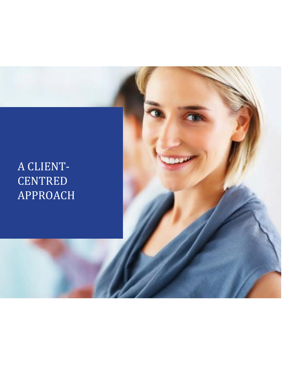# A CLIENT-CENTRED APPROACH

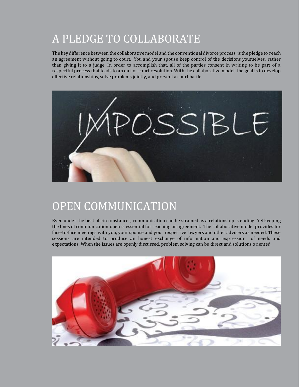# A PLEDGE TO COLLABORATE

The key difference between the collaborative model and the conventional divorce process, is the pledge to reach an agreement without going to court. You and your spouse keep control of the decisions yourselves, rather than giving it to a judge. In order to accomplish that, all of the parties consent in writing to be part of a respectful process that leads to an out-of-court resolution. With the collaborative model, the goal is to develop effective relationships, solve problems jointly, and prevent a court battle.



# OPEN COMMUNICATION

Even under the best of circumstances, communication can be strained as a relationship is ending. Yet keeping the lines of communication open is essential for reaching an agreement. The collaborative model provides for face-to-face meetings with you, your spouse and your respective lawyers and other advisers as needed. These sessions are intended to produce an honest exchange of information and expression of needs and expectations. When the issues are openly discussed, problem solving can be direct and solutions oriented.

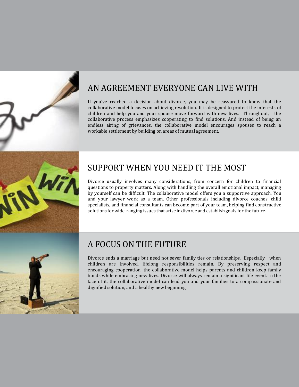

#### AN AGREEMENT EVERYONE CAN LIVE WITH

If you've reached a decision about divorce, you may be reassured to know that the collaborative model focuses on achieving resolution. It is designed to protect the interests of children and help you and your spouse move forward with new lives. Throughout, the collaborative process emphasizes cooperating to find solutions. And instead of being an endless airing of grievances, the collaborative model encourages spouses to reach a workable settlement by building on areas of mutual agreement.

## SUPPORT WHEN YOU NEED IT THE MOST

Divorce usually involves many considerations, from concern for children to financial questions to property matters. Along with handling the overall emotional impact, managing by yourself can be difficult. The collaborative model offers you a supportive approach. You and your lawyer work as a team. Other professionals including divorce coaches, child specialists, and financial consultants can become part of your team, helping find constructive solutions forwide-ranging issues that arise in divorce and establish goals for the future.



#### A FOCUS ON THE FUTURE

Divorce ends a marriage but need not sever family ties or relationships. Especially when children are involved, lifelong responsibilities remain. By preserving respect and encouraging cooperation, the collaborative model helps parents and children keep family bonds while embracing new lives. Divorce will always remain a significant life event. In the face of it, the collaborative model can lead you and your families to a compassionate and dignified solution, and a healthy new beginning.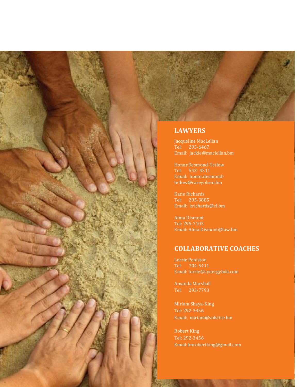

Jacqueline MacLellan Tel: 295-6467 [Email: jackie@maclellan.bm](mailto:jackie@maclellan.bm)

Honor Desmond-Tetlow Tel: 542- 4511 Email: honor.desmondtetlow@careyolsen.bm

Katie Richards Tel: 295-3885 Email: [krichards@cl.bm](mailto:Email:%20krichards@cl.bm)

Alma Dismont Tel: 295-7105 Email: Alma.Dismont@law.bm

#### **COLLABORATIVE COACHES**

Lorrie Peniston Tel: 704-5411 Email: lorrie@synergybda.com

Amanda Marshall Tel: 293-7793

Miriam Shaya-King Tel: 292-3456 Email: miriam@solstice.bm

Robert King Tel: 292-3456 Email:Imrobertking@gmail.com